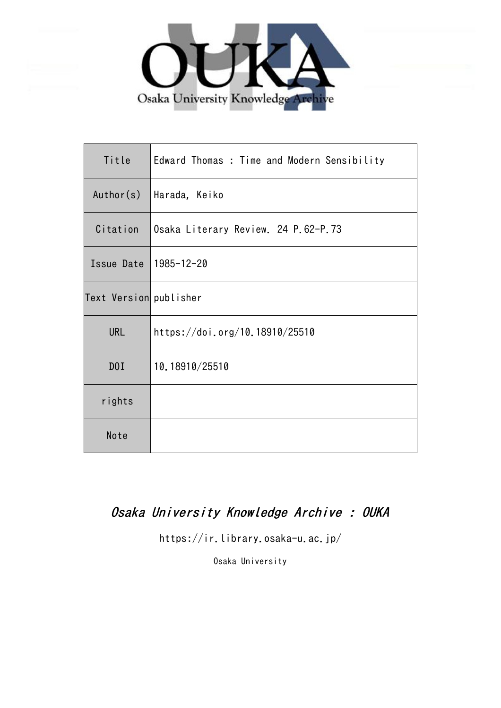

| Title                  | Edward Thomas : Time and Modern Sensibility |
|------------------------|---------------------------------------------|
| Author(s)              | Harada, Keiko                               |
| Citation               | Osaka Literary Review. 24 P.62-P.73         |
| Issue Date             | 1985-12-20                                  |
| Text Version publisher |                                             |
| <b>URL</b>             | https://doi.org/10.18910/25510              |
| DOI                    | 10.18910/25510                              |
| rights                 |                                             |
| Note                   |                                             |

# Osaka University Knowledge Archive : OUKA

https://ir.library.osaka-u.ac.jp/

Osaka University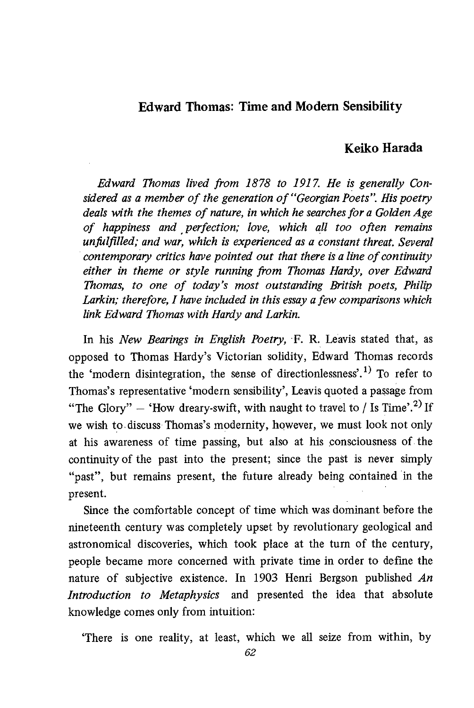## Edward Thomas: Time and Modem Sensibility

## Keiko Harada

 Edward Thomas lived from 1878 to 1917. He is generally Considered as a member of the generation of "Georgian Poets". His poetry deals with the themes of nature, in which he searches for a Golden Age of happiness and , perfection; love, which all too often remains unfulfilled; and war, which is experienced as a constant threat. Several contemporary critics have pointed out that there is a line of continuity either in theme or style running from Thomas Hardy, over Edward Thomas, to one of today's most outstanding British poets, Philip Larkin; therefore, I have included in this essay a few comparisons which link Edward Thomas with Hardy and Larkin.

In his New Bearings in English Poetry, F. R. Leavis stated that, as opposed to Thomas Hardy's Victorian solidity, Edward Thomas records the 'modern disintegration, the sense of directionlessness'.<sup>1)</sup> To refer to Thomas's representative 'modern sensibility', Leavis quoted a passage from "The Glory" – 'How dreary-swift, with naught to travel to / Is Time'.<sup>2)</sup> If we wish to discuss Thomas's modernity, however, we must look not only at his awareness of time passing, but also at his consciousness of the continuity of the past into the present; since the past is never simply "past", but remains present, the future already being contained in the present.

 Since the comfortable concept of time which was dominant before the nineteenth century was completely upset by revolutionary geological and astronomical discoveries, which took place at the turn of the century, people became more concerned with private time in order to define the nature of subjective existence. In 1903 Henri Bergson published  $An$ Introduction to Metaphysics and presented the idea that absolute knowledge comes only from intuition:

`There is one reality , at least, which we all seize from within, by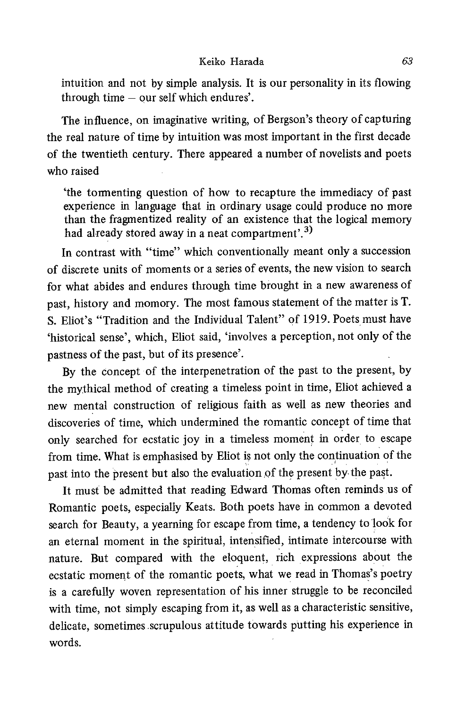intuition and not by simple analysis. It is our personality in its flowing through time — our self which endures'.

 The influence, on imaginative writing, of Bergson's theory of capturing the real nature of time by intuition was most important in the first decade of the twentieth century. There appeared a number of novelists and poets who raised

`the tormenting question of how to recapture the immediacy of past experience in language that in ordinary usage could produce no more than the fragmentized reality of an existence that the logical memory had already stored away in a neat compartment'.<sup>3)</sup>

In contrast with "time" which conventionally meant only a succession of discrete units of moments or a series of events, the new vision to search for what abides and endures through time brought in a new awareness of past, history and momory. The most famous statement of the matter is T. S. Eliot's "Tradition and the Individual Talent" of 1919. Poets must have 'historical sense', which, Eliot said, 'involves a perception, not only of the pastness of the past, but of its presence'.

By the concept of the interpenetration of the past to the present, by the mythical method of creating a timeless point in time, Eliot achieved a new mental construction of religious faith as well as new theories and discoveries of time, which undermined the romantic concept of time that only searched for ecstatic joy in a timeless moment in order to escape from time. What is emphasised by Eliot is not only the continuation of the past into the present but also the evaluation of the present by the past.

It must be admitted that reading Edward Thomas often reminds us of Romantic poets, especially Keats. Both poets have in common a devoted search for Beauty, a yearning for escape from time, a tendency to look for an eternal moment in the spiritual, intensified, intimate intercourse with nature. But compared with the eloquent, rich expressions about the ecstatic moment of the romantic poets, what we read in Thomas's poetry is a carefully woven representation of his inner struggle to be reconciled with time, not simply escaping from it, as well as a characteristic sensitive, delicate, sometimes scrupulous attitude towards putting his experience in words.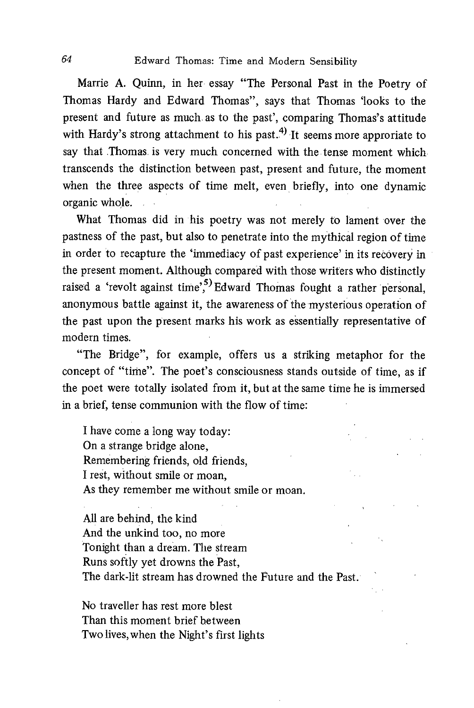Marrie A. Quinn, in her essay "The Personal Past in the Poetry of Thomas Hardy and Edward Thomas", says that Thomas 'looks to the present and future as much as to the past', comparing Thomas's attitude with Hardy's strong attachment to his past.<sup>4)</sup> It seems more approriate to say that Thomas is very much concerned with the tense moment which transcends the distinction between past, present and future, the moment when the three aspects of time melt, even briefly, into one dynamic organic whole.

What Thomas did in his poetry was not merely to lament over the pastness of the past, but also to penetrate into the mythical region of time in order to recapture the 'immediacy of past experience' in its recovery in the present moment. Although compared with those writers who distinctly raised a 'revolt against time'<sup>5</sup> Edward Thomas fought a rather personal. anonymous battle against it, the awareness of the mysterious operation of the past upon the present marks his work as essentially representative of modern times.

"The Bridge" , for example, offers us a striking metaphor for the concept of "time". The poet's consciousness stands outside of time, as if the poet were totally isolated from it, but at the same time he is immersed in a brief, tense communion with the flow of time:

I have come a long way today: On a strange bridge alone, Remembering friends, old friends, I rest, without smile or moan, As they remember me without smile or moan.

All are behind, the kind And the unkind too, no more Tonight than a dream. The stream Runs softly yet drowns the Past, The dark-lit stream has drowned the Future and the Past.

No traveller has rest more blest Than this moment brief between Two lives, when the Night's first lights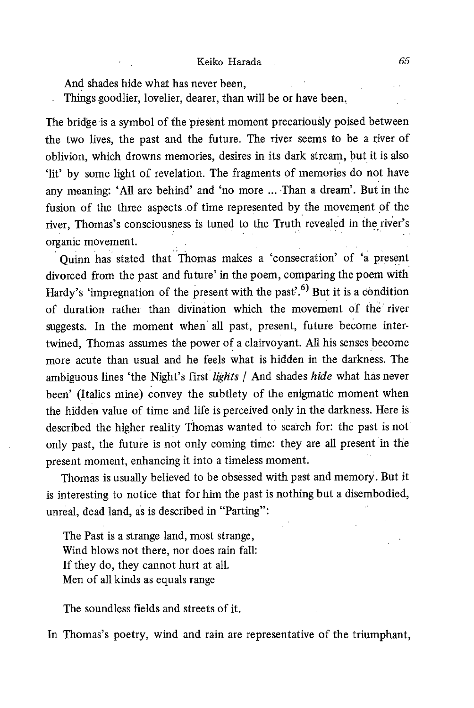- And shades hide what has never been,
- Things goodlier, lovelier, dearer, than will be or have been.

The bridge is a symbol of the present moment precariously poised between the two lives, the past and the future. The river seems to be a river of oblivion, which drowns memories, desires in its dark stream, but it is also 'lit' by some light of revelation. The fragments of memories do not have any meaning: 'All are behind' and 'no more ... Than a dream'. But in the fusion of the three aspects .of time represented by the movement of the river, Thomas's consciousness is tuned to the Truth revealed in the river's organic movement.

Quinn has stated that Thomas makes a 'consecration' of 'a present divorced from the past and future' in the poem, comparing the poem with Hardy's 'impregnation of the present with the past'.<sup>6)</sup> But it is a condition of duration rather than divination which the movement of the river suggests. In the moment when all past, present, future become intertwined, Thomas assumes the power of a clairvoyant. All his senses become more acute than usual and he feels what is hidden in the darkness. The ambiguous lines 'the Night's first lights / And shades hide what has never been' (Italics mine) convey the subtlety of the enigmatic moment when the hidden value of time and life is perceived only in the darkness. Here is described the higher reality Thomas wanted to search for: the past is not only past, the future is not only coming time: they are all present in the present moment, enhancing it into a timeless moment.

Thomas is usually believed to be obsessed with past and memory. But it is interesting to notice that for him the past is nothing but a disembodied, unreal, dead land, as is described in "Parting":

The Past is a strange land, most strange, Wind blows not there, nor does rain fall: If they do, they cannot hurt at all. Men of all kinds as equals range

The soundless fields and streets of it.

In Thomas's poetry, wind and rain are representative of the triumphant,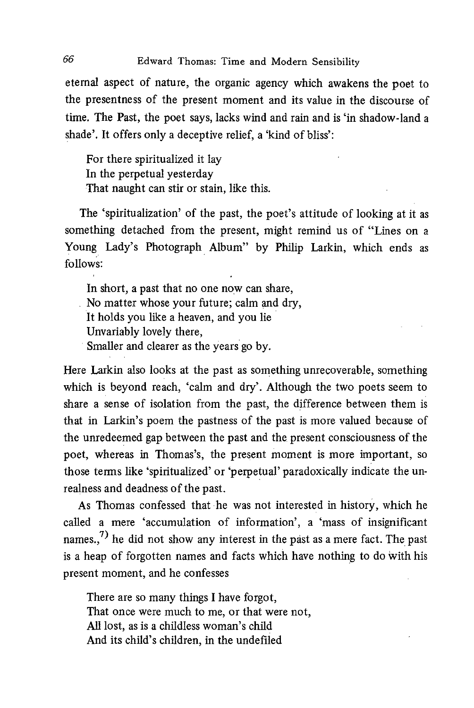eternal aspect of nature, the organic agency which awakens the poet to the presentness of the present moment and its value in the discourse of time. The Past, the poet says, lacks wind and rain and is 'in shadow-land a shade'. It offers only a deceptive relief, a 'kind of bliss':

For there spiritualized it lay In the perpetual yesterday That naught can stir or stain, like this.

 The 'spiritualization' of the past, the poet's attitude of looking at it as something detached from the present, might remind us of "Lines on a Young Lady's Photograph Album" by Philip Larkin, which ends as follows:

 In short, a past that no one now can share, No matter whose your future; calm and dry, It holds you like a heaven, and you lie Unvariably lovely there, Smaller and clearer as the years go by.

Here Larkin also looks at the past as something unrecoverable, something which is beyond reach, 'calm and dry'. Although the two poets seem to share a sense of isolation from the past, the difference between them is that in Larkin's poem the pastness of the past is more valued because of the unredeemed gap between the past and the present consciousness of the poet, whereas in Thomas's, the present moment is more important, so those terms like `spiritualized' or 'perpetual' paradoxically indicate the unrealness and deadness of the past.

As Thomas confessed that he was not interested in history, which he called a mere 'accumulation of information', a 'mass of insignificant names.,<sup>7)</sup> he did not show any interest in the past as a mere fact. The past is a heap of forgotten names and facts which have nothing to do with his present moment, and he confesses

There are so many things I have forgot, That once were much to me, or that were not, All lost, as is a childless woman's child And its child's children, in the undefiled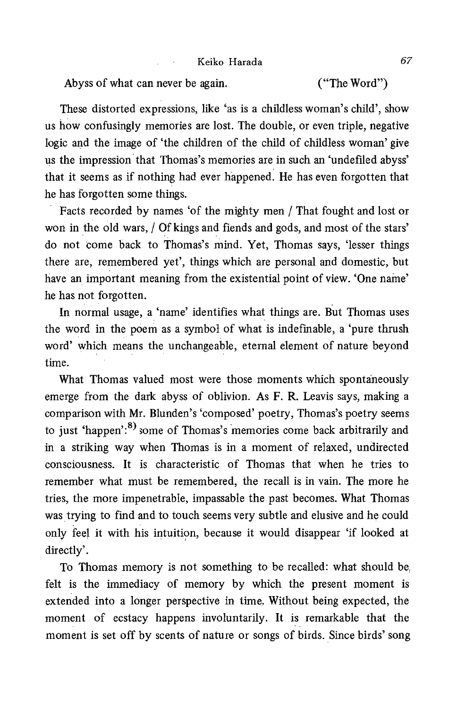Abyss of what can never be again. ("The Word")

 These distorted expressions, like 'as is a childless woman's child', show us how confusingly memories are lost. The double, or even triple, negative logic and the image of 'the children of the child of childless woman' give us the impression that Thomas's memories are in such an 'undefiled abyss' that it seems as if nothing had ever happened. He has even forgotten that he has forgotten some things.

Facts recorded by names 'of the mighty men / That fought and lost or won in the old wars, / Of kings and fiends and gods, and most of the stars' do not come back to Thomas's mind. Yet, Thomas says, 'lesser things there are, remembered yet', things which are personal and domestic, but have an important meaning from the existential point of view. 'One name' he has not forgotten.

In normal usage, a 'name' identifies what things are. But Thomas uses the word in the poem as a symbol of what is indefinable, a 'pure thrush word' which means the unchangeable, eternal element of nature beyond time.

 What Thomas valued most were those moments which spontaneously emerge from the dark abyss of oblivion. As F. R. Leavis says, making a comparison with Mr. Blunden's 'composed' poetry, Thomas's poetry seems to just 'happen':<sup>8)</sup> some of Thomas's memories come back arbitrarily and in a striking way when Thomas is in a moment of relaxed, undirected consciousness. It is characteristic of Thomas that when he tries to remember what must be remembered, the recall is in vain. The more he tries, the more impenetrable, impassable the past becomes. What Thomas was trying to find and to touch seems very subtle and elusive and he could only feel it with his intuition, because it would disappear 'if looked at directly'.

 To Thomas memory is not something to be recalled: what should be felt is the immediacy of memory by which the present moment is extended into a longer perspective in time. Without being expected, the moment of ecstacy happens involuntarily. It is remarkable that the moment is set off by scents of nature or songs of birds. Since birds' song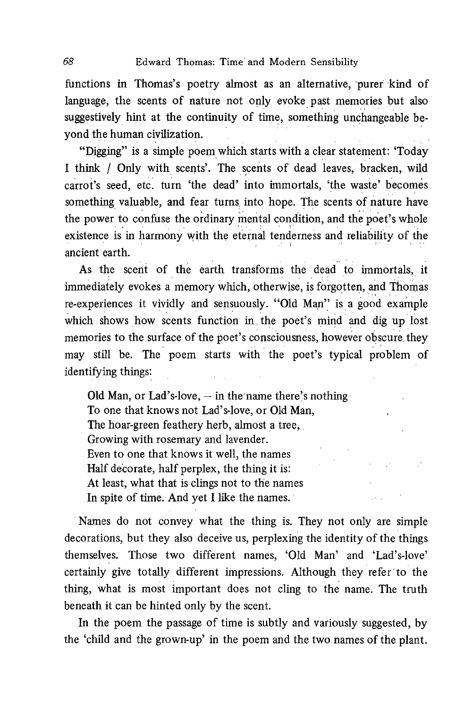functions in Thomas's poetry almost as an alternative, purer kind of language, the scents of nature not only evoke past memories but also suggestively hint at the continuity of time, something unchangeable beyond the human civilization.

"Digging" is a simple poem which starts with a clear statement: 'Today I think / Only with scents'. The scents of dead leaves, bracken, wild carrot's seed, etc. turn 'the dead' into immortals, 'the waste' becomes something valuable, and fear turns into hope. The scents of nature have the power to confuse the ordinary mental condition, and the poet's whole existence is in harmony with the eternal tenderness and reliability of the ancient earth.

As the scent of the earth transforms the dead to immortals, it immediately evokes a memory which, otherwise, is forgotten, and Thomas re-experiences it vividly and sensuously. "Old Man" is a good example which shows how scents function in the poet's mind and dig up lost memories to the surface of the poet's consciousness, however obscure, they may still be. The poem starts with the poet's typical problem of identifying things:

Old Man, or Lad's-love,  $-$  in the name there's nothing To one that knows not Lad's-love, or Old Man, The hoar-green feathery herb, almost a tree, Growing with rosemary and lavender. Even to one that knows it well, the names Half decorate, half perplex, the thing it is: At least, what that is clings not to the names In spite of time. And yet I like the names.

Names do not convey what the thing is. They not only are simple decorations, but they also deceive us, perplexing the identity of the things themselves. Those two different names, 'Old Man' and 'Lad's-love' certainly give totally different impressions. Although they refer to the thing, what is most important does not cling to the name. The truth beneath it can be hinted only by the scent.

In the poem the passage of time is subtly and variously suggested, by the 'child and the grown-up' in the poem and the two names of the plant.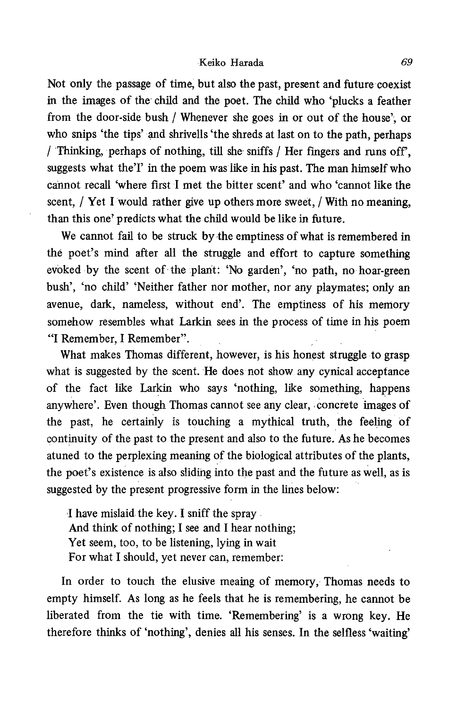Not only the passage of time, but also the past, present and future coexist in the images of the child and the poet. The child who 'plucks a feather from the door-side bush / Whenever she goes in or out of the house', or who snips 'the tips' and shrivells 'the shreds at last on to the path, perhaps / Thinking, perhaps of nothing, till she sniffs / Her fingers and runs off, suggests what the'I' in the poem was like in his past. The man himself who cannot recall 'where first I met the bitter scent' and who 'cannot like the scent, / Yet I would rather give up others more sweet, / With no meaning, than this one' predicts what the child would be like in future.

We cannot fail to be struck by the emptiness of what is remembered in the poet's mind after all the struggle and effort to capture something evoked by the scent of the plant: 'No garden', 'no path, no hoar-green bush', 'no child' 'Neither father nor mother, nor any playmates; only an avenue, dark, nameless, without end'. The emptiness of his memory somehow resembles what Larkin sees in the process of time in his poem "I Remember , I Remember".

What makes Thomas different, however, is his honest struggle to grasp what is suggested by the scent. He does not show any cynical acceptance of the fact like Larkin who says 'nothing, like something, happens anywhere'. Even though Thomas cannot see any clear, concrete images of the past, he certainly is touching a mythical truth, the feeling of continuity of the past to the present and also to the future. As he becomes atuned to the perplexing meaning of the biological attributes of the plants, the poet's existence is also sliding into the past and the future as well, as is suggested by the present progressive form in the lines below:

I have mislaid the key. I sniff the spray And think of nothing; I see and I hear nothing; Yet seem, too, to be listening, lying in wait For what I should, yet never can, remember:

 In order to touch the elusive meaing of memory, Thomas needs to empty himself. As long as he feels that he is remembering, he cannot be liberated from the tie with time. 'Remembering' is a wrong key. He therefore thinks of 'nothing', denies all his senses. In the selfless 'waiting'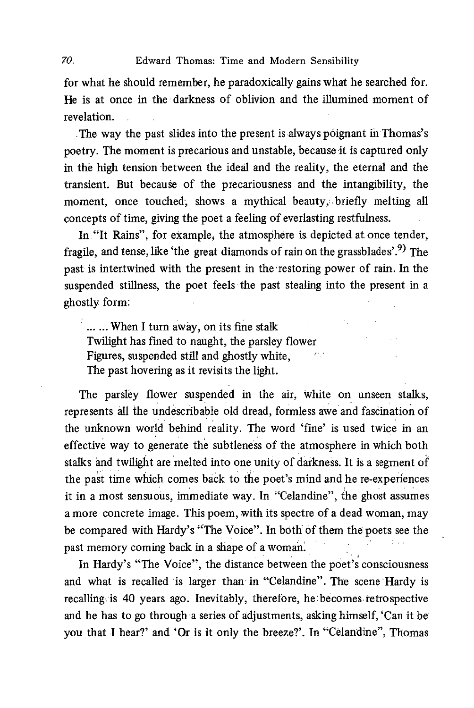for what he should remember, he paradoxically gains what he searched for. He is at once in the darkness of oblivion and the illumined moment of revelation.

The way the past slides into the present is always poignant in Thomas's poetry. The moment is precarious and unstable, because it is captured only in the high tension between the ideal and the reality, the eternal and the transient. But because of the precariousness and the intangibility, the moment, once touched, shows a mythical beauty, briefly melting all concepts of time, giving the poet a feeling of everlasting restfulness.

In "It Rains", for example, the atmosphere is depicted at once tender, fragile, and tense, like 'the great diamonds of rain on the grassblades'.9) The past is intertwined with the present in the 'restoring power of rain. In the suspended stillness, the poet feels the past stealing into the present in a ghostly form:

...... When I turn away, on its fine stalk Twilight has fined to naught, the parsley flower Figures, suspended still and ghostly white; an n The past hovering as it revisits the light.

The parsley flower suspended in the air, white on unseen stalks, represents all the undescribable old dread, formless awe and fascination of the unknown world behind reality. The word 'fine' is used twice in an effective way to generate the subtleness of the atmosphere in which both stalks and twilight are melted into one unity of darkness. It is a segment of the past time which comes back to the poet's mind and he re-experiences it in a most sensuous, immediate way. In "Celandine", the ghost assumes a more concrete image. This poem, with its spectre of a dead woman, may be compared with Hardy's "The Voice". In both of them the poets see the past memory coming back in a shape of a woman.

In Hardy's "The Voice", the distance between the poet's consciousness and what is recalled is larger than in "Celandine". The scene Hardy is recalling. is 40 years ago. Inevitably, therefore, he becomes retrospective and he has to go through a series of adjustments, asking himself, 'Can it be you that I hear?' and 'Or is it only the breeze?'. In "Celandine", Thomas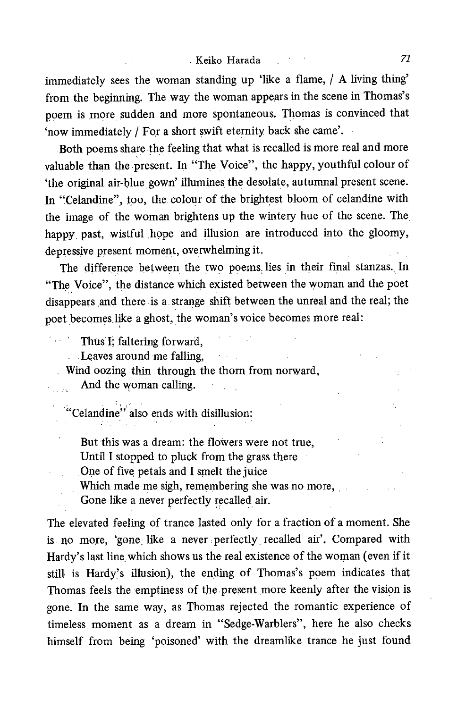immediately sees the woman standing up 'like a flame, / A living thing' from the beginning. The way the woman appears in the scene in Thomas's poem is more sudden and more spontaneous. Thomas is convinced that 'now immediately / For a short swift eternity back she came'.

Both poems share the feeling that what is recalled is more real and more valuable than the present. In "The Voice", the happy, youthful colour of `the original air-blue, gown' illumines, the desolate, autumnal present scene. In "Celandine", too, the colour of the brightest bloom of celandine with the image of the woman brightens up the wintery hue of the scene. The, happy past, wistful hope and illusion are introduced into the gloomy, depressive present moment, overwhelming it.

The difference between the two poems. lies in their final stanzas. In "The Voice" , the distance which existed between the woman and the poet disappears and there is a. strange shift between the unreal and the real; the poet becomes,like a ghost, the woman's voice becomes more real:

Thus I; faltering forward,

Leaves around me falling,

Wind oozing thin through the thorn from norward,

And the woman calling.

"Celandine" also ends with disillusio

But this was a dream: the flowers were not true,

Until I stopped to pluck from the grass there

One of five petals and I smelt the juice

Which made me sigh, remembering she was no more,

Gone like a never perfectly recalled air.

The elevated feeling of trance lasted only for a fraction of a moment. She is no more, 'gone like a never perfectly recalled air'. Compared with Hardy's last line, which shows us the real existence of the woman (even if it still is Hardy's illusion), the ending of Thomas's poem indicates that Thomas feels the 'emptiness of the present more keenly after the vision is gone. In the same way, as Thomas rejected the romantic experience of timeless moment as a dream in "Sedge-Warblers", here he also checks himself from being 'poisoned' with the dreamlike trance he just found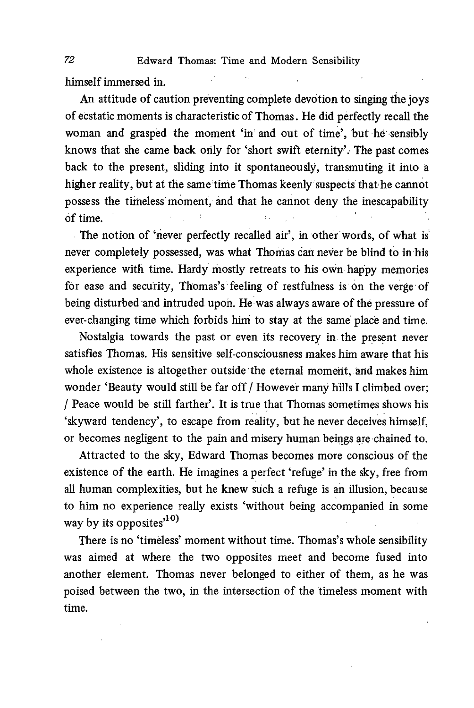himself immersed in.

An attitude of caution preventing complete devotion to singing the joys of ecstatic moments is characteristic of Thomas. He did perfectly recall the woman and grasped the moment 'in and out of time', but he sensibly knows that she came back only for 'short swift eternity'. The past comes back to the present, sliding into it spontaneously, transmuting it into a higher reality, but at the same time Thomas keenly suspects that he cannot possess the timeless moment, and that he cannot deny the inescapability of time.

 The notion of 'never perfectly recalled air', in other words, of what is never completely possessed, was what Thomas can never be blind to in his experience with time. Hardy mostly retreats to his own happy memories for ease and security, Thomas's feeling of restfulness is on the verge of being disturbed and intruded upon. He was always aware of the pressure of ever-changing time which forbids him to stay at the same place and time.

Nostalgia towards the past or even its recovery in the present never satisfies Thomas. His sensitive self-consciousness makes him aware that his whole existence is altogether outside the eternal moment, and makes him wonder 'Beauty would still be far off / However many hills I climbed over; / Peace would be still farther'. It is true that Thomas sometimes shows his `skyward tendency' , to escape from reality, but he never deceives himself, or becomes negligent to the pain and misery human beings are chained to.

Attracted to the sky, Edward Thomas becomes more conscious of the existence of the earth. He imagines a perfect 'refuge' in the sky, free from all human complexities, but he knew such a refuge is an illusion, because to him no experience really exists 'without being accompanied in some way by its opposites $^{10}$ 

There is no 'timeless' moment without time. Thomas's whole sensibility was aimed at where the two opposites meet and become fused into another element. Thomas never belonged to either of them, as he was poised between the two, in the intersection of the timeless moment with time.